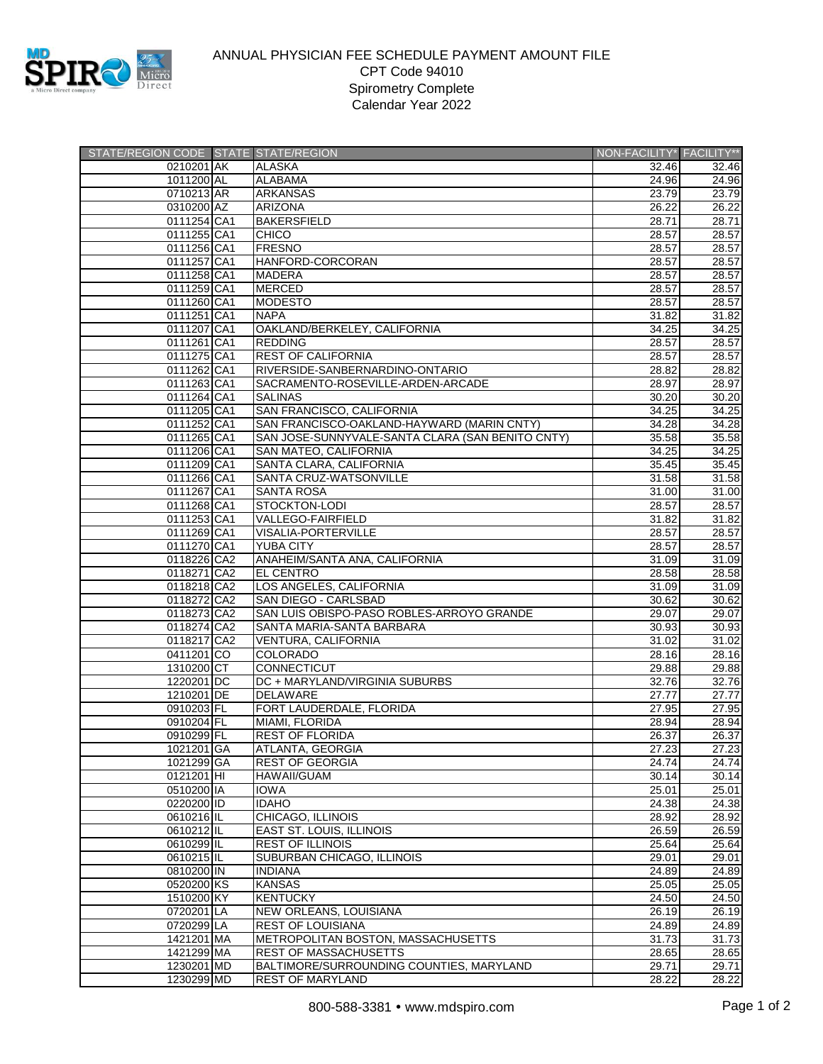

## ANNUAL PHYSICIAN FEE SCHEDULE PAYMENT AMOUNT FILE CPT Code 94010 Spirometry Complete Calendar Year 2022

| STATE/REGION CODE STATE STATE/REGION |                                                  | NON-FACILITY* FACILITY** |                    |
|--------------------------------------|--------------------------------------------------|--------------------------|--------------------|
| 0210201 AK                           | ALASKA                                           | 32.46                    | 32.46              |
| 1011200 AL                           | <b>ALABAMA</b>                                   | 24.96                    | 24.96              |
| 0710213 AR                           | <b>ARKANSAS</b>                                  | 23.79                    | 23.79              |
| 0310200 AZ                           | <b>ARIZONA</b>                                   | 26.22                    | 26.22              |
| 0111254 CA1                          | <b>BAKERSFIELD</b>                               | 28.71                    | 28.71              |
| 0111255 CA1                          | <b>CHICO</b>                                     | 28.57                    | 28.57              |
| 0111256 CA1                          | <b>FRESNO</b>                                    | 28.57                    | 28.57              |
| 0111257 CA1                          | HANFORD-CORCORAN                                 | 28.57                    | 28.57              |
| 0111258 CA1                          | <b>MADERA</b>                                    | 28.57                    | 28.57              |
| 0111259 CA1                          | <b>MERCED</b>                                    | 28.57                    | 28.57              |
| 0111260 CA1                          | <b>MODESTO</b>                                   | 28.57                    | 28.57              |
| 0111251 CA1                          | <b>NAPA</b>                                      | 31.82                    | 31.82              |
| 0111207 CA1                          | OAKLAND/BERKELEY, CALIFORNIA                     | 34.25                    | 34.25              |
| 0111261 CA1                          | <b>REDDING</b>                                   | 28.57                    | 28.57              |
| 0111275 CA1                          | <b>REST OF CALIFORNIA</b>                        | 28.57                    | 28.57              |
| 0111262 CA1                          | RIVERSIDE-SANBERNARDINO-ONTARIO                  | 28.82                    | 28.82              |
| 0111263 CA1                          | SACRAMENTO-ROSEVILLE-ARDEN-ARCADE                | 28.97                    | 28.97              |
| 0111264 CA1                          | <b>SALINAS</b>                                   | 30.20                    | 30.20              |
| 0111205 CA1                          | SAN FRANCISCO, CALIFORNIA                        | 34.25                    | 34.25              |
| 0111252 CA1                          | SAN FRANCISCO-OAKLAND-HAYWARD (MARIN CNTY)       | 34.28                    | 34.28              |
| 0111265 CA1                          | SAN JOSE-SUNNYVALE-SANTA CLARA (SAN BENITO CNTY) | 35.58                    | 35.58              |
| 0111206 CA1                          | <b>SAN MATEO, CALIFORNIA</b>                     | 34.25                    | 34.25              |
| 0111209 CA1                          | SANTA CLARA, CALIFORNIA                          | 35.45                    | 35.45              |
| 0111266 CA1                          | SANTA CRUZ-WATSONVILLE                           | 31.58                    | 31.58              |
| 0111267 CA1                          | <b>SANTA ROSA</b>                                | 31.00                    | 31.00              |
| 0111268 CA1                          |                                                  | 28.57                    | 28.57              |
|                                      | STOCKTON-LODI<br><b>VALLEGO-FAIRFIELD</b>        |                          |                    |
| 0111253 CA1                          |                                                  | 31.82                    | 31.82              |
| 0111269 CA1                          | <b>VISALIA-PORTERVILLE</b>                       | 28.57                    | 28.57              |
| 0111270 CA1                          | <b>YUBA CITY</b>                                 | 28.57                    | 28.57              |
| 0118226 CA2                          | ANAHEIM/SANTA ANA, CALIFORNIA                    | 31.09                    | 31.09              |
| 0118271 CA2                          | <b>EL CENTRO</b>                                 | 28.58                    | 28.58              |
| 0118218 CA2                          | LOS ANGELES, CALIFORNIA                          | 31.09                    | 31.09              |
| 0118272 CA2                          | SAN DIEGO - CARLSBAD                             | 30.62                    | 30.62              |
| 0118273 CA2                          | SAN LUIS OBISPO-PASO ROBLES-ARROYO GRANDE        | 29.07                    | 29.07              |
| 0118274 CA2                          | SANTA MARIA-SANTA BARBARA                        | 30.93                    | 30.93              |
| 0118217 CA2                          | VENTURA, CALIFORNIA                              | 31.02                    | 31.02              |
| 0411201 CO                           | <b>COLORADO</b>                                  | 28.16                    | 28.16              |
| 1310200 CT                           | <b>CONNECTICUT</b>                               | 29.88                    | 29.88              |
| 1220201 DC                           | DC + MARYLAND/VIRGINIA SUBURBS                   | 32.76                    | 32.76              |
| 1210201 DE                           | DELAWARE                                         | 27.77                    | $\overline{27.77}$ |
| 0910203 FL                           | FORT LAUDERDALE, FLORIDA                         | 27.95                    | 27.95              |
| 0910204 FL                           | MIAMI, FLORIDA                                   | 28.94                    | 28.94              |
| 0910299 FL                           | <b>REST OF FLORIDA</b>                           | 26.37                    | 26.37              |
| 1021201 GA                           | ATLANTA, GEORGIA                                 | 27.23                    | 27.23              |
| 1021299 GA                           | <b>REST OF GEORGIA</b>                           | 24.74                    | $\overline{2}4.74$ |
| 0121201 HI                           | <b>HAWAII/GUAM</b>                               | 30.14                    | 30.14              |
| 0510200 IA                           | <b>IOWA</b>                                      | 25.01                    | 25.01              |
| 0220200 ID                           | <b>IDAHO</b>                                     | 24.38                    | 24.38              |
| 0610216 IL                           | CHICAGO, ILLINOIS                                | 28.92                    | 28.92              |
| 0610212 IL                           | EAST ST. LOUIS, ILLINOIS                         | 26.59                    | 26.59              |
| 0610299 IL                           | <b>REST OF ILLINOIS</b>                          | 25.64                    | 25.64              |
| 0610215 IL                           | SUBURBAN CHICAGO, ILLINOIS                       | 29.01                    | 29.01              |
| 0810200 IN                           | <b>INDIANA</b>                                   | 24.89                    | 24.89              |
| 0520200 KS                           | <b>KANSAS</b>                                    | 25.05                    | 25.05              |
| 1510200 KY                           | <b>KENTUCKY</b>                                  | 24.50                    | 24.50              |
| 0720201 LA                           | <b>NEW ORLEANS, LOUISIANA</b>                    | 26.19                    | 26.19              |
| 0720299 LA                           | <b>REST OF LOUISIANA</b>                         | 24.89                    | 24.89              |
| 1421201 MA                           | <b>METROPOLITAN BOSTON, MASSACHUSETTS</b>        | 31.73                    | 31.73              |
| 1421299 MA                           | <b>REST OF MASSACHUSETTS</b>                     | 28.65                    | 28.65              |
| 1230201 MD                           | BALTIMORE/SURROUNDING COUNTIES, MARYLAND         | 29.71                    | 29.71              |
| 1230299 MD                           | <b>REST OF MARYLAND</b>                          | 28.22                    | 28.22              |